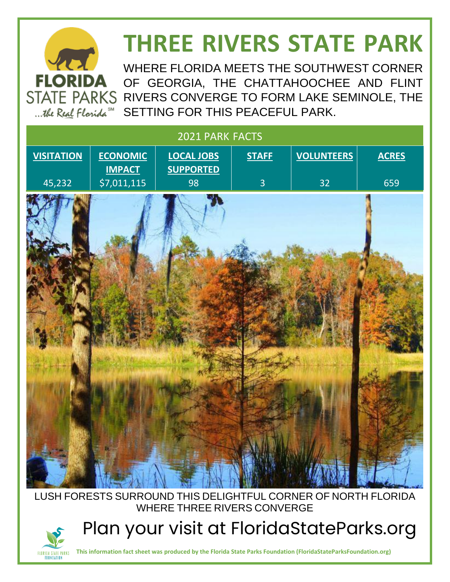## **THREE RIVERS STATE PARK**

WHERE FLORIDA MEETS THE SOUTHWEST CORNER OF GEORGIA, THE CHATTAHOOCHEE AND FLINT STATE PARKS RIVERS CONVERGE TO FORM LAKE SEMINOLE, THE ...the Real Florida<sup>SM</sup> SETTING FOR THIS PEACEFUL PARK.

| 2021 PARK FACTS   |                                  |                                       |                |                   |              |
|-------------------|----------------------------------|---------------------------------------|----------------|-------------------|--------------|
| <b>VISITATION</b> | <b>ECONOMIC</b><br><b>IMPACT</b> | <b>LOCAL JOBS</b><br><b>SUPPORTED</b> | <b>STAFF</b>   | <b>VOLUNTEERS</b> | <b>ACRES</b> |
| 45,232            | \$7,011,115                      | 98                                    | $\overline{3}$ | 32                | 659          |
|                   |                                  | YN                                    |                |                   |              |
|                   |                                  |                                       |                |                   |              |

#### LUSH FORESTS SURROUND THIS DELIGHTFUL CORNER OF NORTH FLORIDA WHERE THREE RIVERS CONVERGE

Plan your visit at FloridaStateParks.org



**FLORIDA** 

**This information fact sheet was produced by the Florida State Parks Foundation (FloridaStateParksFoundation.org)**